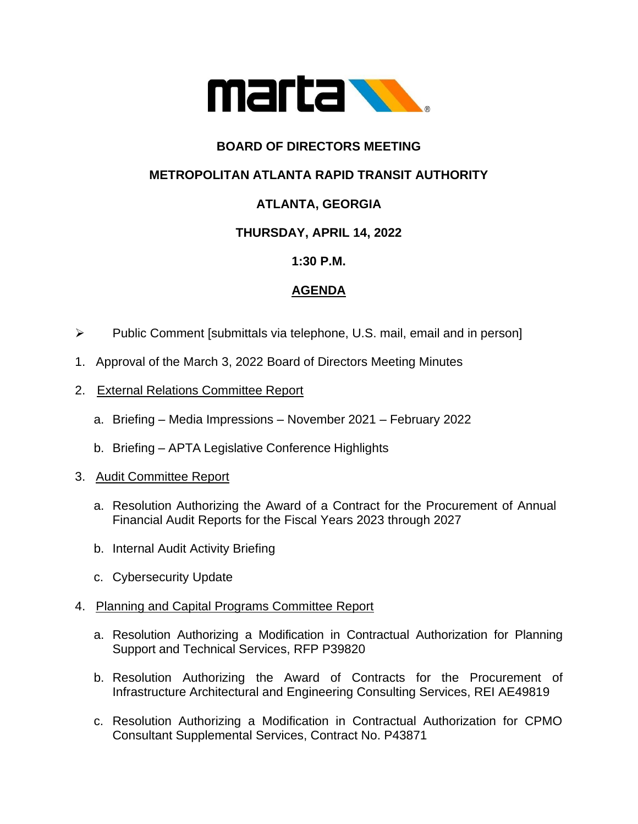

## **BOARD OF DIRECTORS MEETING**

### **METROPOLITAN ATLANTA RAPID TRANSIT AUTHORITY**

# **ATLANTA, GEORGIA**

### **THURSDAY, APRIL 14, 2022**

### **1:30 P.M.**

### **AGENDA**

- ➢ Public Comment [submittals via telephone, U.S. mail, email and in person]
- 1. Approval of the March 3, 2022 Board of Directors Meeting Minutes
- 2. External Relations Committee Report
	- a. Briefing Media Impressions November 2021 February 2022
	- b. Briefing APTA Legislative Conference Highlights
- 3. Audit Committee Report
	- a. Resolution Authorizing the Award of a Contract for the Procurement of Annual Financial Audit Reports for the Fiscal Years 2023 through 2027
	- b. Internal Audit Activity Briefing
	- c. Cybersecurity Update

#### 4. Planning and Capital Programs Committee Report

- a. Resolution Authorizing a Modification in Contractual Authorization for Planning Support and Technical Services, RFP P39820
- b. Resolution Authorizing the Award of Contracts for the Procurement of Infrastructure Architectural and Engineering Consulting Services, REI AE49819
- c. Resolution Authorizing a Modification in Contractual Authorization for CPMO Consultant Supplemental Services, Contract No. P43871